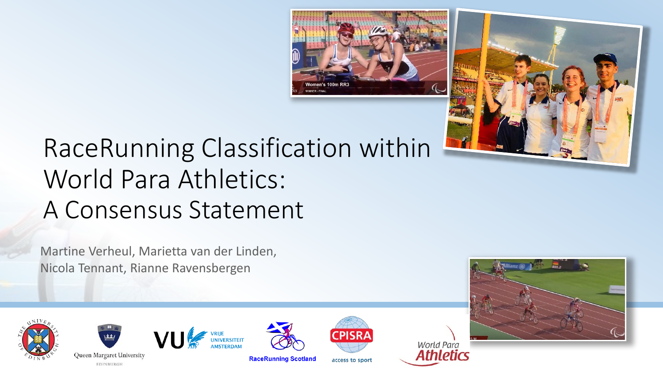



## RaceRunning Classification within World Para Athletics: A Consensus Statement

Martine Verheul, Marietta van der Linden, Nicola Tennant, Rianne Ravensbergen





EDINBURGH





**RaceRunning Scotland** 



access to sport

**World Para** Athletics

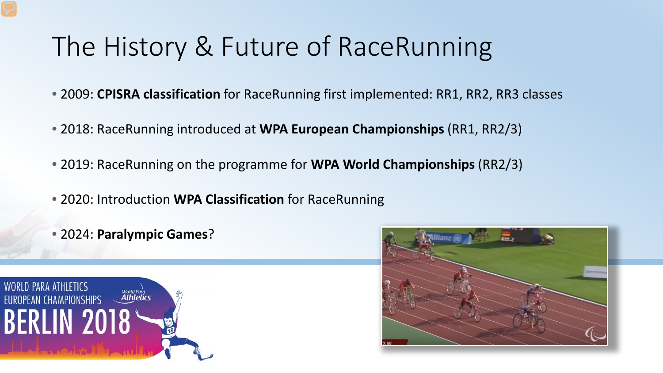#### The History & Future of RaceRunning

- 2009: **CPISRA classification** for RaceRunning first implemented: RR1, RR2, RR3 classes
- 2018: RaceRunning introduced at **WPA European Championships** (RR1, RR2/3)
- 2019: RaceRunning on the programme for **WPA World Championships** (RR2/3)
- 2020: Introduction **WPA Classification** for RaceRunning
- 2024: **Paralympic Games**?



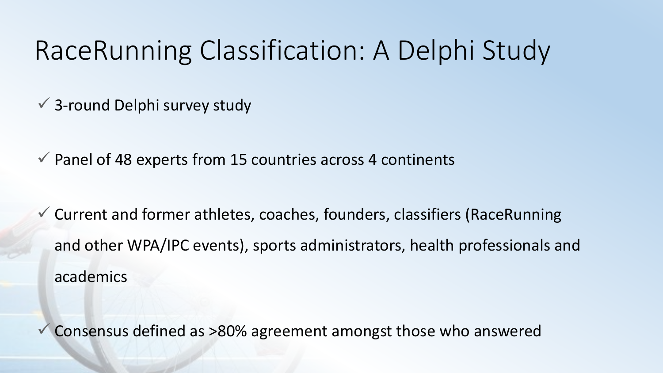#### RaceRunning Classification: A Delphi Study

3-round Delphi survey study

 $\checkmark$  Panel of 48 experts from 15 countries across 4 continents

 Current and former athletes, coaches, founders, classifiers (RaceRunning and other WPA/IPC events), sports administrators, health professionals and academics

Consensus defined as >80% agreement amongst those who answered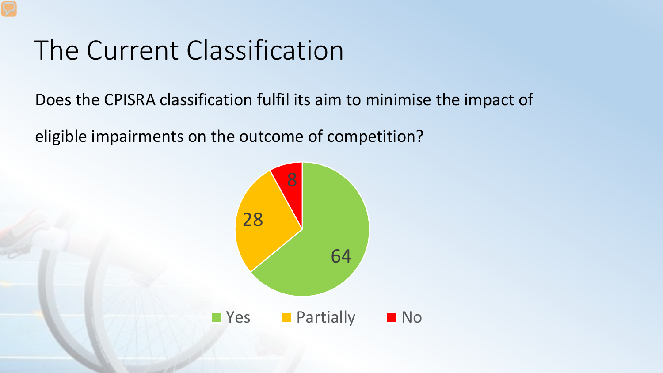# The Current Classification

Does the CPISRA classification fulfil its aim to minimise the impact of

eligible impairments on the outcome of competition?

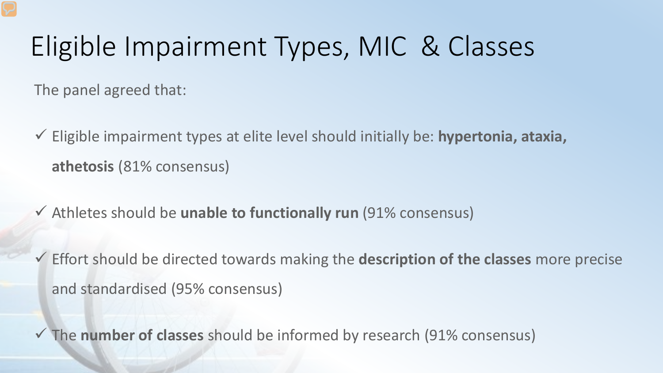# Eligible Impairment Types, MIC & Classes

The panel agreed that:

- Eligible impairment types at elite level should initially be: **hypertonia, ataxia, athetosis** (81% consensus)
- Athletes should be **unable to functionally run** (91% consensus)
- Effort should be directed towards making the **description of the classes** more precise and standardised (95% consensus)

The **number of classes** should be informed by research (91% consensus)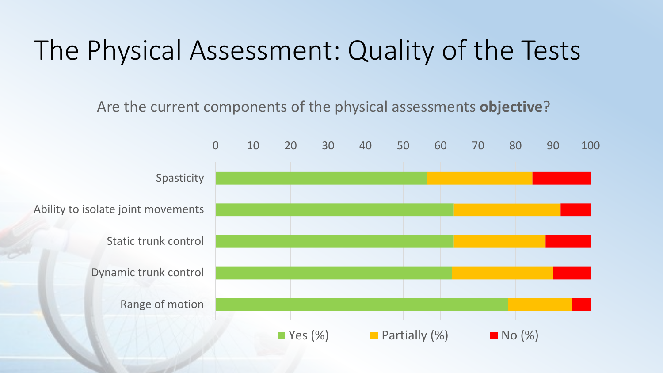# The Physical Assessment: Quality of the Tests

Are the current components of the physical assessments **objective**?

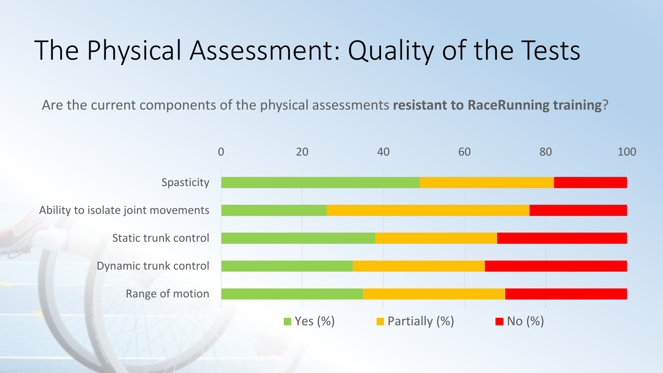# The Physical Assessment: Quality of the Tests

Are the current components of the physical assessments **resistant to RaceRunning training**?

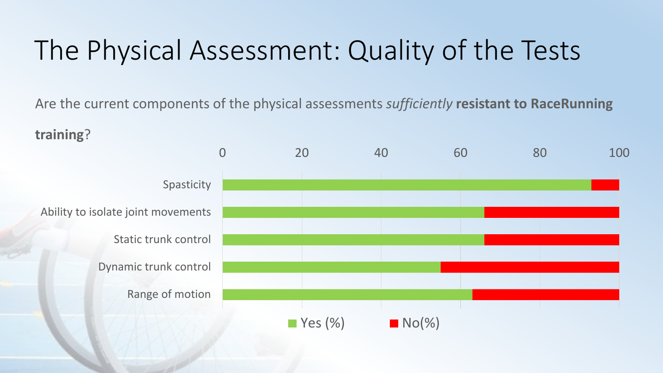# The Physical Assessment: Quality of the Tests

Are the current components of the physical assessments *sufficiently* **resistant to RaceRunning** 

**training**?

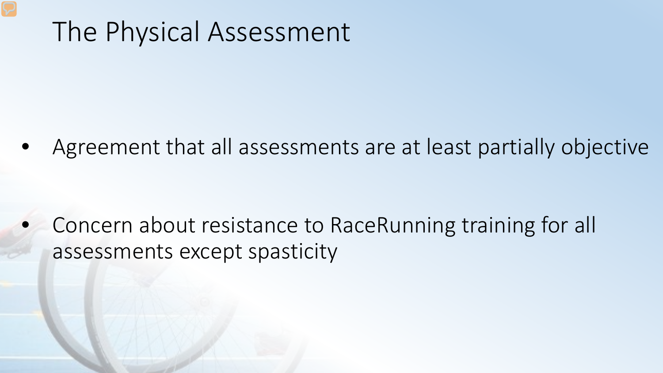#### The Physical Assessment

• Agreement that all assessments are at least partially objective

• Concern about resistance to RaceRunning training for all assessments except spasticity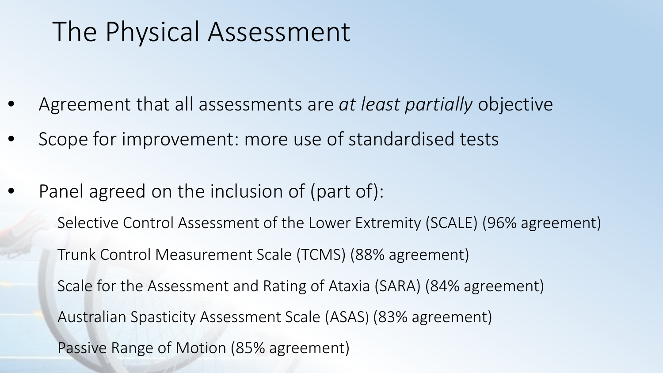## The Physical Assessment

- Agreement that all assessments are *at least partially* objective
- Scope for improvement: more use of standardised tests
- Panel agreed on the inclusion of (part of):

Selective Control Assessment of the Lower Extremity (SCALE) (96% agreement) Trunk Control Measurement Scale (TCMS) (88% agreement) Scale for the Assessment and Rating of Ataxia (SARA) (84% agreement) Australian Spasticity Assessment Scale (ASAS) (83% agreement) Passive Range of Motion (85% agreement)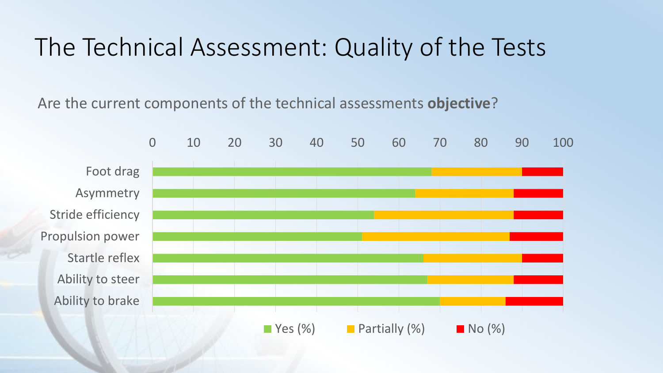#### The Technical Assessment: Quality of the Tests

Are the current components of the technical assessments **objective**?

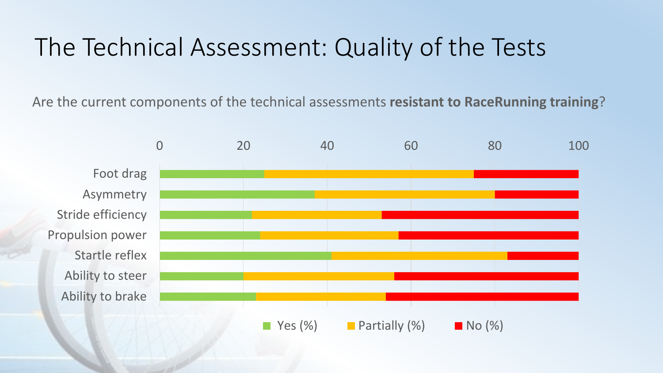#### The Technical Assessment: Quality of the Tests

Are the current components of the technical assessments **resistant to RaceRunning training**?

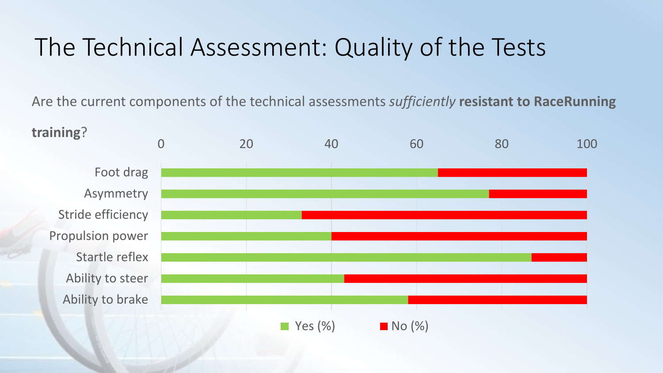#### The Technical Assessment: Quality of the Tests

Are the current components of the technical assessments *sufficiently* **resistant to RaceRunning** 

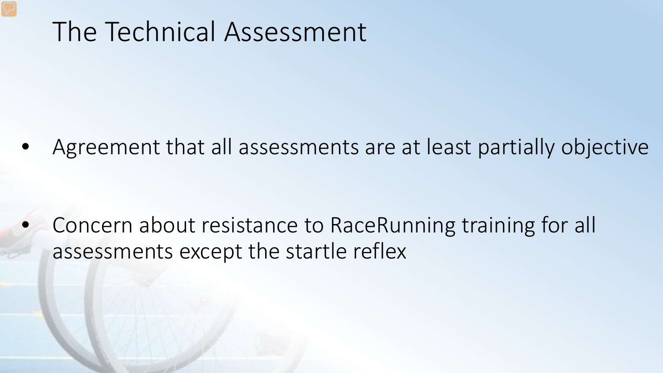#### The Technical Assessment

• Agreement that all assessments are at least partially objective

• Concern about resistance to RaceRunning training for all assessments except the startle reflex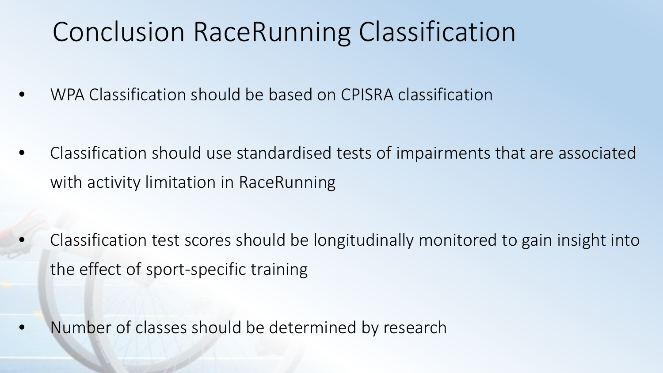## Conclusion RaceRunning Classification

- **WPA Classification should be based on CPISRA classification**
- Classification should use standardised tests of impairments that are associated with activity limitation in RaceRunning

• Classification test scores should be longitudinally monitored to gain insight into the effect of sport-specific training

• Number of classes should be determined by research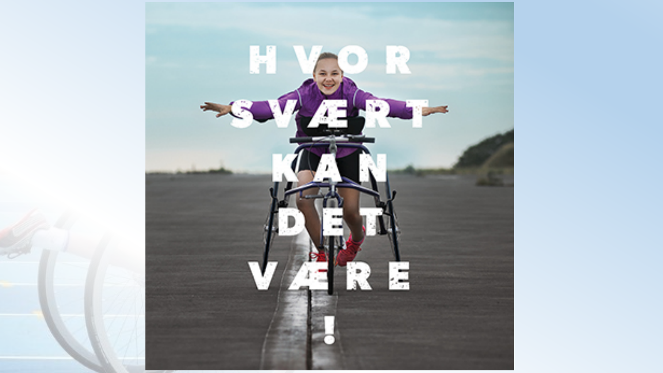